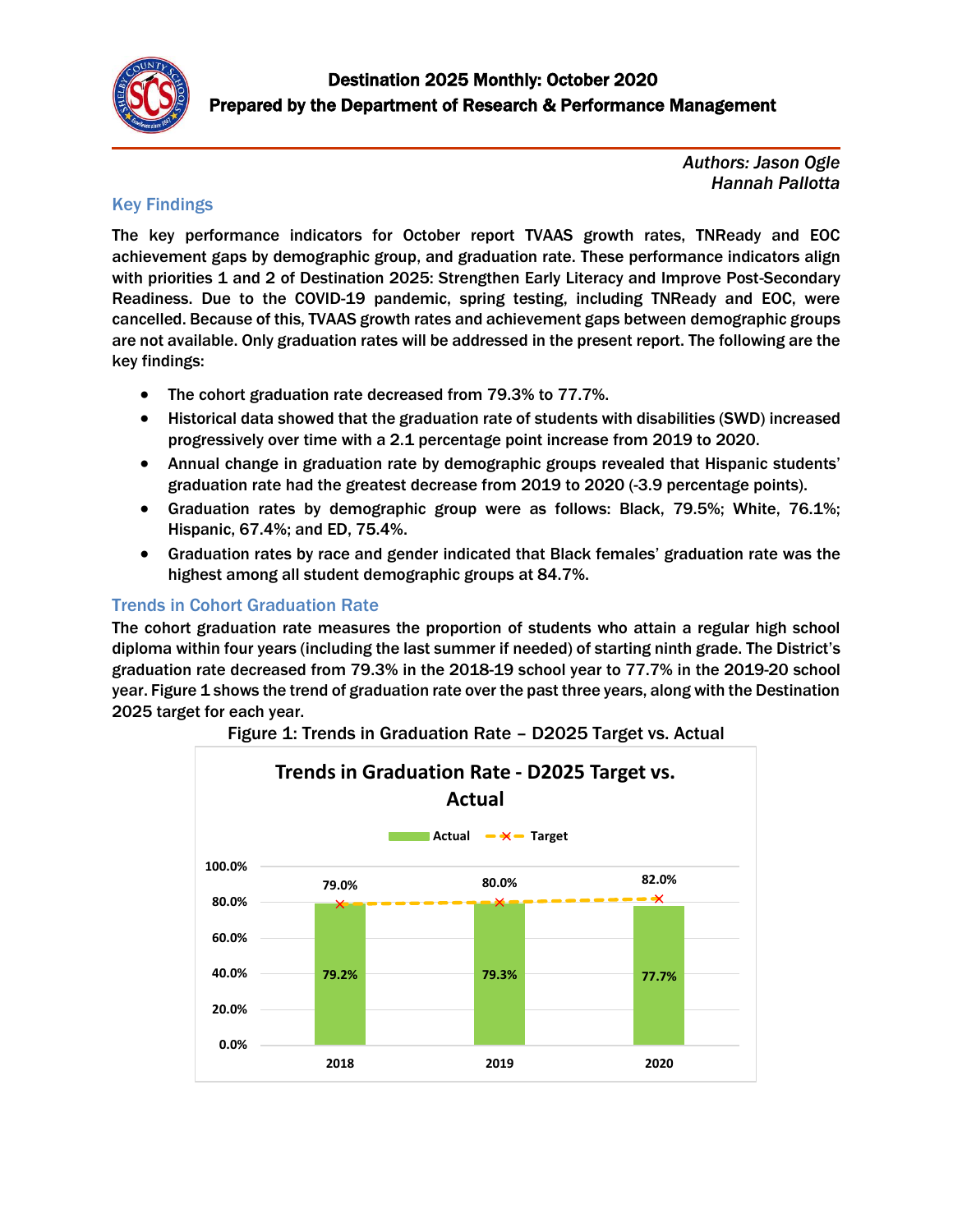

*Authors: Jason Ogle Hannah Pallotta*

#### Key Findings

The key performance indicators for October report TVAAS growth rates, TNReady and EOC achievement gaps by demographic group, and graduation rate. These performance indicators align with priorities 1 and 2 of Destination 2025: Strengthen Early Literacy and Improve Post-Secondary Readiness. Due to the COVID-19 pandemic, spring testing, including TNReady and EOC, were cancelled. Because of this, TVAAS growth rates and achievement gaps between demographic groups are not available. Only graduation rates will be addressed in the present report. The following are the key findings:

- The cohort graduation rate decreased from 79.3% to 77.7%.
- Historical data showed that the graduation rate of students with disabilities (SWD) increased progressively over time with a 2.1 percentage point increase from 2019 to 2020.
- Annual change in graduation rate by demographic groups revealed that Hispanic students' graduation rate had the greatest decrease from 2019 to 2020 (-3.9 percentage points).
- Graduation rates by demographic group were as follows: Black, 79.5%; White, 76.1%; Hispanic, 67.4%; and ED, 75.4%.
- Graduation rates by race and gender indicated that Black females' graduation rate was the highest among all student demographic groups at 84.7%.

### Trends in Cohort Graduation Rate

The cohort graduation rate measures the proportion of students who attain a regular high school diploma within four years (including the last summer if needed) of starting ninth grade. The District's graduation rate decreased from 79.3% in the 2018-19 school year to 77.7% in the 2019-20 school year. Figure 1 shows the trend of graduation rate over the past three years, along with the Destination 2025 target for each year.



#### Figure 1: Trends in Graduation Rate – D2025 Target vs. Actual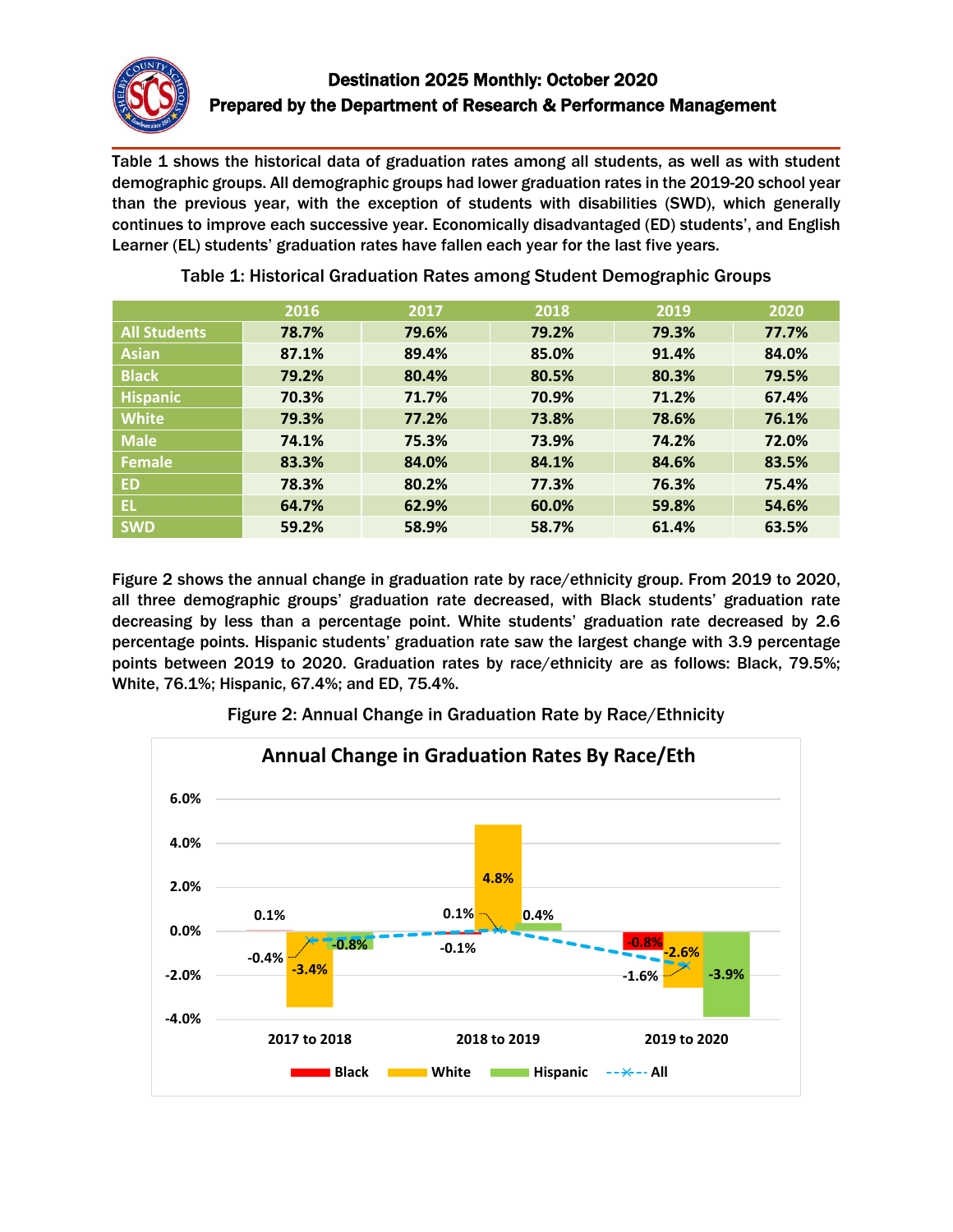

Table 1 shows the historical data of graduation rates among all students, as well as with student demographic groups. All demographic groups had lower graduation rates in the 2019-20 school year than the previous year, with the exception of students with disabilities (SWD), which generally continues to improve each successive year. Economically disadvantaged (ED) students', and English Learner (EL) students' graduation rates have fallen each year for the last five years.

|                     | 2016  | 2017  | 2018  | 2019  | 2020  |
|---------------------|-------|-------|-------|-------|-------|
| <b>All Students</b> | 78.7% | 79.6% | 79.2% | 79.3% | 77.7% |
| <b>Asian</b>        | 87.1% | 89.4% | 85.0% | 91.4% | 84.0% |
| <b>Black</b>        | 79.2% | 80.4% | 80.5% | 80.3% | 79.5% |
| <b>Hispanic</b>     | 70.3% | 71.7% | 70.9% | 71.2% | 67.4% |
| <b>White</b>        | 79.3% | 77.2% | 73.8% | 78.6% | 76.1% |
| <b>Male</b>         | 74.1% | 75.3% | 73.9% | 74.2% | 72.0% |
| <b>Female</b>       | 83.3% | 84.0% | 84.1% | 84.6% | 83.5% |
| <b>ED</b>           | 78.3% | 80.2% | 77.3% | 76.3% | 75.4% |
| EL.                 | 64.7% | 62.9% | 60.0% | 59.8% | 54.6% |
| <b>SWD</b>          | 59.2% | 58.9% | 58.7% | 61.4% | 63.5% |

Table 1: Historical Graduation Rates among Student Demographic Groups

Figure 2 shows the annual change in graduation rate by race/ethnicity group. From 2019 to 2020, all three demographic groups' graduation rate decreased, with Black students' graduation rate decreasing by less than a percentage point. White students' graduation rate decreased by 2.6 percentage points. Hispanic students' graduation rate saw the largest change with 3.9 percentage points between 2019 to 2020. Graduation rates by race/ethnicity are as follows: Black, 79.5%; White, 76.1%; Hispanic, 67.4%; and ED, 75.4%.



Figure 2: Annual Change in Graduation Rate by Race/Ethnicity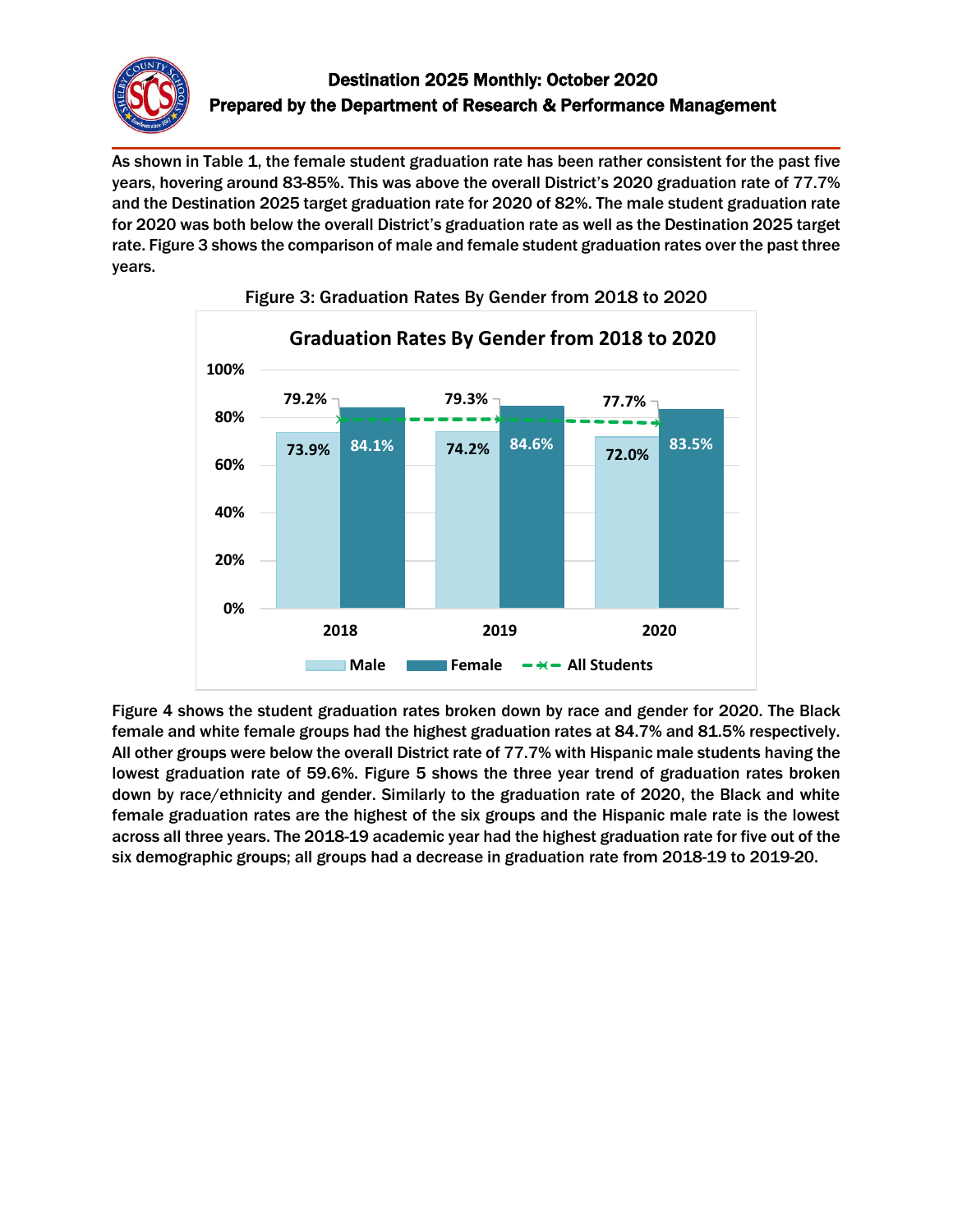

As shown in Table 1, the female student graduation rate has been rather consistent for the past five years, hovering around 83-85%. This was above the overall District's 2020 graduation rate of 77.7% and the Destination 2025 target graduation rate for 2020 of 82%. The male student graduation rate for 2020 was both below the overall District's graduation rate as well as the Destination 2025 target rate. Figure 3 shows the comparison of male and female student graduation rates over the past three years.



Figure 3: Graduation Rates By Gender from 2018 to 2020

Figure 4 shows the student graduation rates broken down by race and gender for 2020. The Black female and white female groups had the highest graduation rates at 84.7% and 81.5% respectively. All other groups were below the overall District rate of 77.7% with Hispanic male students having the lowest graduation rate of 59.6%. Figure 5 shows the three year trend of graduation rates broken down by race/ethnicity and gender. Similarly to the graduation rate of 2020, the Black and white female graduation rates are the highest of the six groups and the Hispanic male rate is the lowest across all three years. The 2018-19 academic year had the highest graduation rate for five out of the six demographic groups; all groups had a decrease in graduation rate from 2018-19 to 2019-20.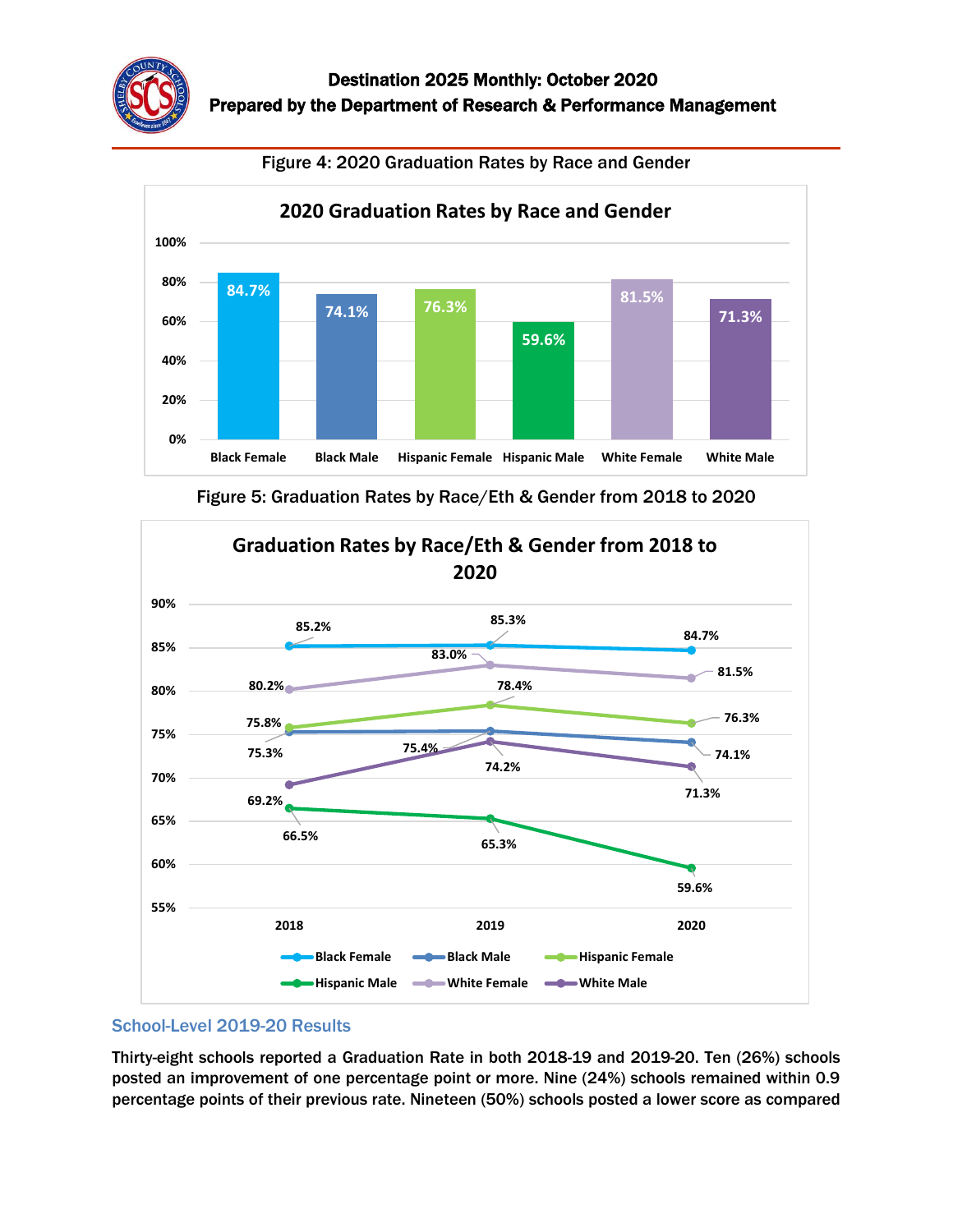

Figure 4: 2020 Graduation Rates by Race and Gender





Figure 5: Graduation Rates by Race/Eth & Gender from 2018 to 2020

## School-Level 2019-20 Results

Thirty-eight schools reported a Graduation Rate in both 2018-19 and 2019-20. Ten (26%) schools posted an improvement of one percentage point or more. Nine (24%) schools remained within 0.9 percentage points of their previous rate. Nineteen (50%) schools posted a lower score as compared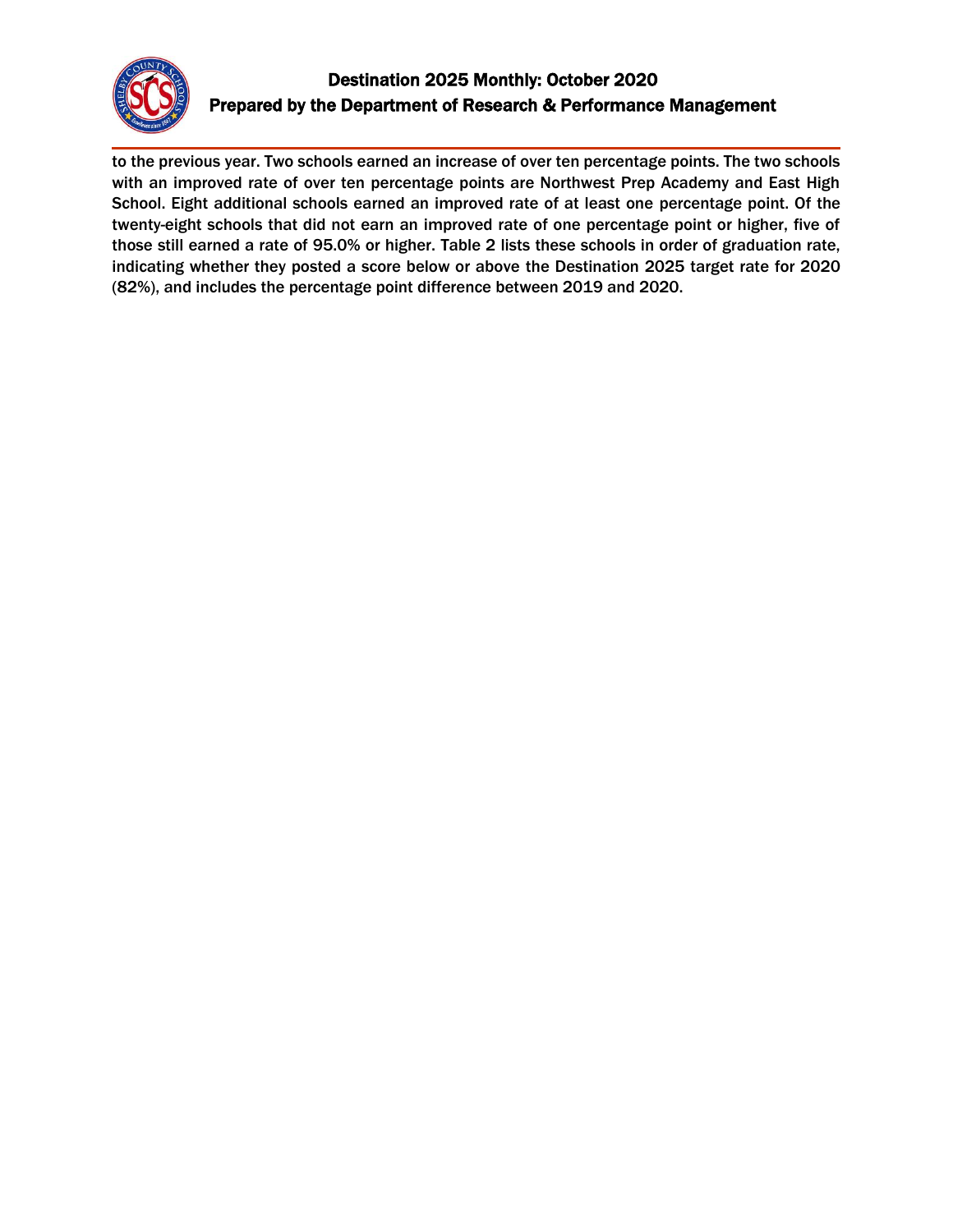

# Destination 2025 Monthly: October 2020 Prepared by the Department of Research & Performance Management

to the previous year. Two schools earned an increase of over ten percentage points. The two schools with an improved rate of over ten percentage points are Northwest Prep Academy and East High School. Eight additional schools earned an improved rate of at least one percentage point. Of the twenty-eight schools that did not earn an improved rate of one percentage point or higher, five of those still earned a rate of 95.0% or higher. Table 2 lists these schools in order of graduation rate, indicating whether they posted a score below or above the Destination 2025 target rate for 2020 (82%), and includes the percentage point difference between 2019 and 2020.